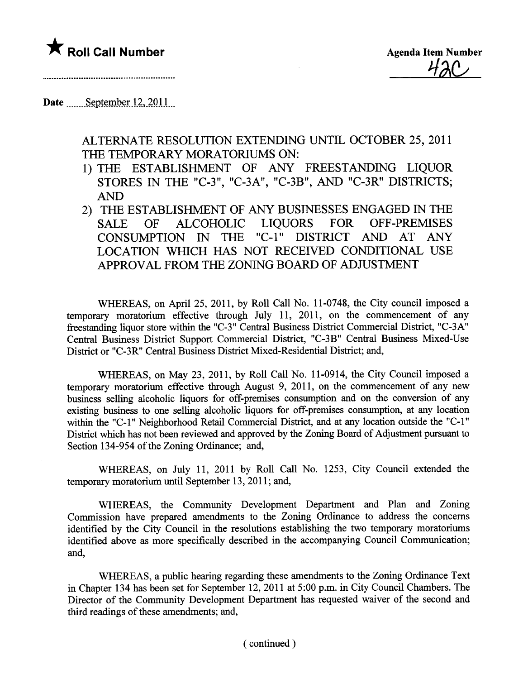## **\*** Roll Call Number Agenda Item Number

<u>420</u>

..............................

## Date  $\frac{\text{September}12,2011}{\text{September}}$

ALTERNATE RESOLUTION EXTENDING UNTIL OCTOBER 25,2011 THE TEMPORARY MORATORIUMS ON:

- 1) THE ESTABLISHMENT OF ANY FREESTANDING LIQUOR STORES IN THE "C-3", "C-3A", "C-3B", AND "C-3R" DISTRICTS; AND
- 2) THE ESTABLISHMENT OF ANY BUSINESSES ENGAGED IN THE SALE OF ALCOHOLIC LIQUORS FOR OFF-PREMISES<br>CONSUMPTION IN THE "C-1" DISTRICT AND AT ANY "C-1" DISTRICT AND AT ANY LOCATION WHCH HAS NOT RECEIVED CONDITIONAL USE APPROVAL FROM THE ZONING BOARD OF ADJUSTMENT

WHEREAS, on April 25, 2011, by Roll Call No. 11-0748, the City council imposed a temporary moratorium effective through July 11, 2011, on the commencement of any freestanding liquor store within the "C-3" Central Business District Commercial District, "C-3A" Central Business District Support Commercial District, "C-3B" Central Business Mixed-Use District or "C-3R" Central Business District Mixed-Residential District; and,

WHREAS, on May 23, 2011, by Roll Call No. 11-0914, the City Council imposed a temporary moratorium effective through August 9, 2011, on the commencement of any new business selling alcoholic liquors for off-premises consumption and on the conversion of any existing business to one selling alcoholic liquors for off-premises consumption, at any location within the "C-1" Neighborhood Retail Commercial District, and at any location outside the "C-1" District which has not been reviewed and approved by the Zoning Board of Adjustment pursuant to Section 134-954 of the Zoning Ordinance; and,

WHEREAS, on July 11, 2011 by Roll Call No. 1253, City Council extended the temporary moratorium until September 13, 2011; and,

WHEREAS, the Community Development Department and Plan and Zoning Commission have prepared amendments to the Zonig Ordinance to address the concerns identified by the City Council in the resolutions establishing the two temporary moratoriums identified above as more specifically described in the accompanying Council Communcation; and,

WHEREAS, a public hearing regarding these amendments to the Zoning Ordinance Text in Chapter 134 has been set for September 12, 2011 at 5:00 p.m. in City Council Chambers. The Director of the Communty Development Deparment has requested waiver of the second and third readings of these amendments; and,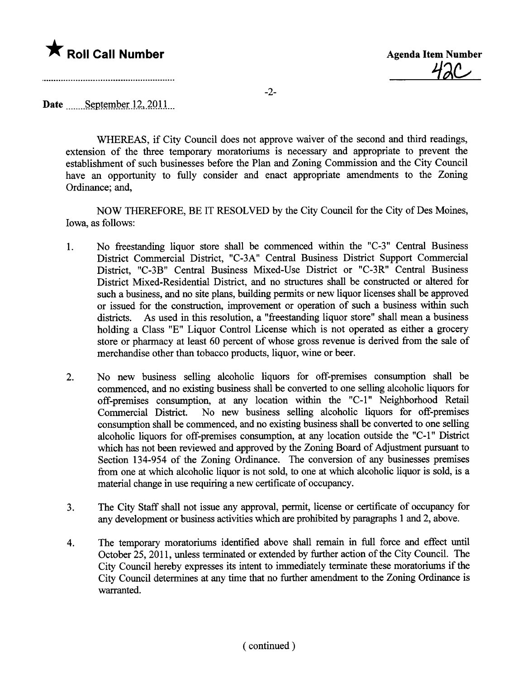## **\*** Roll Call Number Agenda Item Number

<u>42C</u>

-2-

Date  $S$ eptember 12, 2011

WHEREAS, if City Council does not approve waiver of the second and third readings, extension of the three temporary moratoriums is necessary and appropriate to prevent the establishment of such businesses before the Plan and Zoning Commission and the City Council have an opportunity to fully consider and enact appropriate amendments to the Zoning Ordinance; and,

NOW THEREFORE, BE IT RESOLVED by the City Council for the City of Des Moines, Iowa, as follows:

- 1. No freestanding liquor store shall be commenced within the "C-3" Central Business District Commercial District, "C-3A" Central Business District Support Commercial District, "C-3B" Central Business Mixed-Use District or "C-3R" Central Business District Mixed-Residential District, and no structures shall be constructed or altered for such a business, and no site plans, building permits or new liquor licenses shall be approved or issued for the construction, improvement or operation of such a business within such districts. As used in this resolution, a "freestanding liquor store" shall mean a business holding a Class "E" Liquor Control License which is not operated as either a grocery store or pharmacy at least 60 percent of whose gross revenue is derived from the sale of merchandise other than tobacco products, liquor, wine or beer.
- 2. No new business selling alcoholic liquors for off-premises consumption shall be commenced, and no existing business shall be converted to one selling alcoholic liquors for off-premises consumption, at any location within the "C-1" Neighborhood Retail Commercial District. No new business selling alcoholic liquors for off-premises consumption shall be commenced, and no existing business shall be converted to one selling alcoholic liquors for off-premises consumption, at any location outside the "C-1" District which has not been reviewed and approved by the Zoning Board of Adjustment pursuant to Section 134-954 of the Zoning Ordinance. The conversion of any businesses premises from one at which alcoholic liquor is not sold, to one at which alcoholic liquor is sold, is a material change in use requiring a new certificate of occupancy.
- 3. The City Staff shall not issue any approval, permit, license or certificate of occupancy for any development or business activities which are prohibited by paragraphs 1 and 2, above.
- 4. The temporary moratoriums identified above shall remain in full force and effect until October 25, 2011, unless terminated or extended by further action of the City Council. The City Council hereby expresses its intent to immediately termnate these moratoriums if the City Council determines at any time that no further amendment to the Zoning Ordinance is warranted.